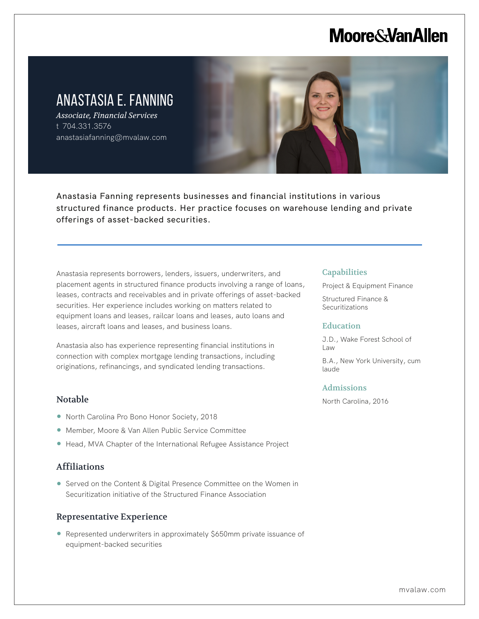# **Moore & Van Allen**

# ANASTASIA E. FANNING

*Associate, Financial Services* t 704.331.3576 anastasiafanning@mvalaw.com

Anastasia Fanning represents businesses and financial institutions in various structured finance products. Her practice focuses on warehouse lending and private offerings of asset-backed securities.

Anastasia represents borrowers, lenders, issuers, underwriters, and placement agents in structured finance products involving a range of loans, leases, contracts and receivables and in private offerings of asset-backed securities. Her experience includes working on matters related to equipment loans and leases, railcar loans and leases, auto loans and leases, aircraft loans and leases, and business loans.

Anastasia also has experience representing financial institutions in connection with complex mortgage lending transactions, including originations, refinancings, and syndicated lending transactions.

### Notable

l,

- North Carolina Pro Bono Honor Society, 2018
- Member, Moore & Van Allen Public Service Committee
- Head, MVA Chapter of the International Refugee Assistance Project

## Affiliations

● Served on the Content & Digital Presence Committee on the Women in Securitization initiative of the Structured Finance Association

#### Representative Experience

● Represented underwriters in approximately \$650mm private issuance of equipment-backed securities

#### **Capabilities**

Project & Equipment Finance

Structured Finance & **Securitizations** 

#### Education

J.D., Wake Forest School of Law

B.A., New York University, cum laude

#### Admissions

North Carolina, 2016